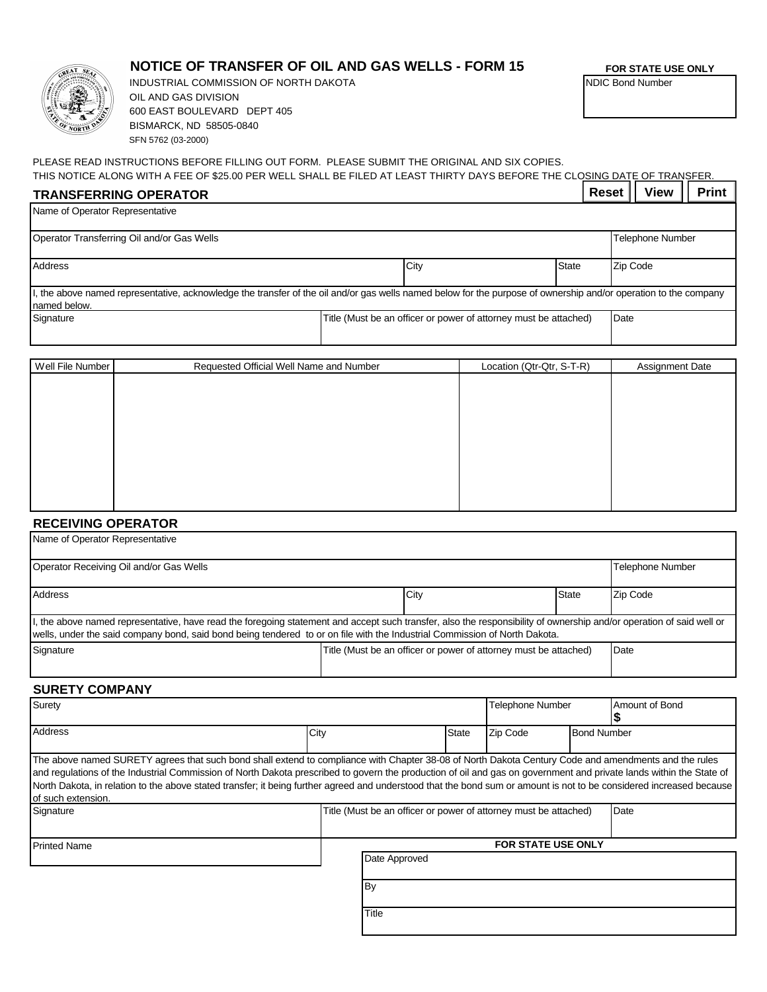

## **NOTICE OF TRANSFER OF OIL AND GAS WELLS - FORM 15**

BISMARCK, ND 58505-0840 SFN 5762 (03-2000) INDUSTRIAL COMMISSION OF NORTH DAKOTA OIL AND GAS DIVISION 600 EAST BOULEVARD DEPT 405

**FOR STATE USE ONLY**

NDIC Bond Number

PLEASE READ INSTRUCTIONS BEFORE FILLING OUT FORM. PLEASE SUBMIT THE ORIGINAL AND SIX COPIES.

THIS NOTICE ALONG WITH A FEE OF \$25.00 PER WELL SHALL BE FILED AT LEAST THIRTY DAYS BEFORE THE CLOSING DATE OF TRANSFER.  $\vert$  Reset  $\vert\vert$  View  $\vert\vert$  Print  $\vert$ 

| <b>TRANSFERRING OPERATOR</b> |
|------------------------------|
|------------------------------|

| Name of Operator Representative            |                                                                                                                                                                  |                                                                  |                           |                         |                        |
|--------------------------------------------|------------------------------------------------------------------------------------------------------------------------------------------------------------------|------------------------------------------------------------------|---------------------------|-------------------------|------------------------|
| Operator Transferring Oil and/or Gas Wells |                                                                                                                                                                  |                                                                  |                           | <b>Telephone Number</b> |                        |
| <b>Address</b>                             |                                                                                                                                                                  | City                                                             | <b>State</b>              |                         | Zip Code               |
| named below.                               | I, the above named representative, acknowledge the transfer of the oil and/or gas wells named below for the purpose of ownership and/or operation to the company |                                                                  |                           |                         |                        |
| Signature                                  |                                                                                                                                                                  | Title (Must be an officer or power of attorney must be attached) |                           |                         | Date                   |
|                                            |                                                                                                                                                                  |                                                                  |                           |                         |                        |
| Well File Number                           | Requested Official Well Name and Number                                                                                                                          |                                                                  | Location (Qtr-Qtr, S-T-R) |                         | <b>Assignment Date</b> |

| <b>VV CII LIIC INUITIDEI</b> | Requested Official Vell Natrie and Number | LUCAIIUII (QII-QII, J-T-N) | Assignment Date |
|------------------------------|-------------------------------------------|----------------------------|-----------------|
|                              |                                           |                            |                 |
|                              |                                           |                            |                 |
|                              |                                           |                            |                 |
|                              |                                           |                            |                 |
|                              |                                           |                            |                 |
|                              |                                           |                            |                 |
|                              |                                           |                            |                 |
|                              |                                           |                            |                 |
|                              |                                           |                            |                 |
|                              |                                           |                            |                 |
|                              |                                           |                            |                 |
|                              |                                           |                            |                 |
|                              |                                           |                            |                 |
|                              |                                           |                            |                 |
|                              |                                           |                            |                 |
|                              |                                           |                            |                 |
|                              |                                           |                            |                 |
|                              |                                           |                            |                 |
|                              |                                           |                            |                 |
|                              |                                           |                            |                 |

## **RECEIVING OPERATOR**

Name of Operator Representative

| Operator Receiving Oil and/or Gas Wells                                                                                                                                                                                                                                                            |  |                                                                  |              | <b>Telephone Number</b> |  |  |
|----------------------------------------------------------------------------------------------------------------------------------------------------------------------------------------------------------------------------------------------------------------------------------------------------|--|------------------------------------------------------------------|--------------|-------------------------|--|--|
| <b>Address</b>                                                                                                                                                                                                                                                                                     |  | City                                                             | <b>State</b> | Zip Code                |  |  |
| I, the above named representative, have read the foregoing statement and accept such transfer, also the responsibility of ownership and/or operation of said well or<br>wells, under the said company bond, said bond being tendered to or on file with the Industrial Commission of North Dakota. |  |                                                                  |              |                         |  |  |
| Signature                                                                                                                                                                                                                                                                                          |  | Title (Must be an officer or power of attorney must be attached) |              | Date                    |  |  |

## **SURETY COMPANY**

| Surety                                                                                                                                                                                                                                                                                                                                                                                                                                                                                                                    |                                                                  | <b>Telephone Number</b> |          | Amount of Bond     |      |
|---------------------------------------------------------------------------------------------------------------------------------------------------------------------------------------------------------------------------------------------------------------------------------------------------------------------------------------------------------------------------------------------------------------------------------------------------------------------------------------------------------------------------|------------------------------------------------------------------|-------------------------|----------|--------------------|------|
| <b>Address</b>                                                                                                                                                                                                                                                                                                                                                                                                                                                                                                            | City                                                             | <b>State</b>            | Zip Code | <b>Bond Number</b> |      |
| The above named SURETY agrees that such bond shall extend to compliance with Chapter 38-08 of North Dakota Century Code and amendments and the rules<br>and regulations of the Industrial Commission of North Dakota prescribed to govern the production of oil and gas on government and private lands within the State of<br>North Dakota, in relation to the above stated transfer; it being further agreed and understood that the bond sum or amount is not to be considered increased because<br>of such extension. |                                                                  |                         |          |                    |      |
| Signature                                                                                                                                                                                                                                                                                                                                                                                                                                                                                                                 | Title (Must be an officer or power of attorney must be attached) |                         |          |                    | Date |
| <b>Printed Name</b>                                                                                                                                                                                                                                                                                                                                                                                                                                                                                                       | <b>FOR STATE USE ONLY</b>                                        |                         |          |                    |      |
|                                                                                                                                                                                                                                                                                                                                                                                                                                                                                                                           | Date Approved<br><b>By</b>                                       |                         |          |                    |      |
|                                                                                                                                                                                                                                                                                                                                                                                                                                                                                                                           | Title                                                            |                         |          |                    |      |